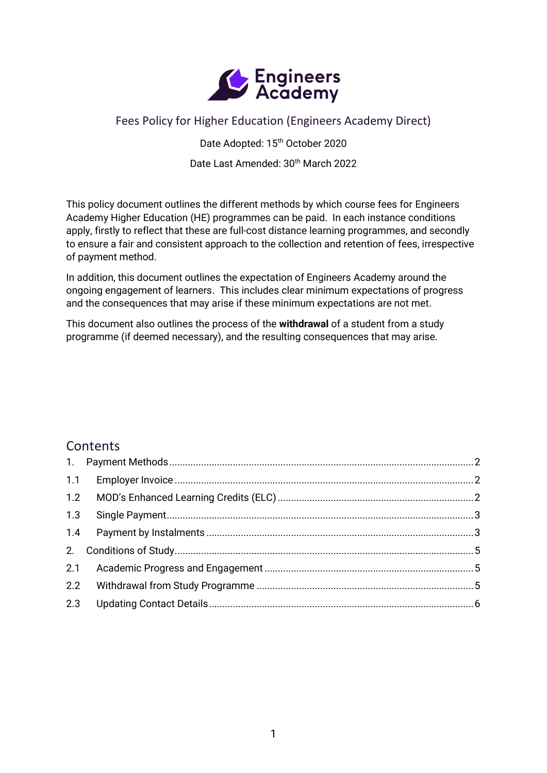

## Fees Policy for Higher Education (Engineers Academy Direct)

Date Adopted: 15<sup>th</sup> October 2020

Date Last Amended: 30<sup>th</sup> March 2022

This policy document outlines the different methods by which course fees for Engineers Academy Higher Education (HE) programmes can be paid. In each instance conditions apply, firstly to reflect that these are full-cost distance learning programmes, and secondly to ensure a fair and consistent approach to the collection and retention of fees, irrespective of payment method.

In addition, this document outlines the expectation of Engineers Academy around the ongoing engagement of learners. This includes clear minimum expectations of progress and the consequences that may arise if these minimum expectations are not met.

This document also outlines the process of the **withdrawal** of a student from a study programme (if deemed necessary), and the resulting consequences that may arise.

# **Contents**

| 1.3 |  |
|-----|--|
|     |  |
|     |  |
|     |  |
|     |  |
|     |  |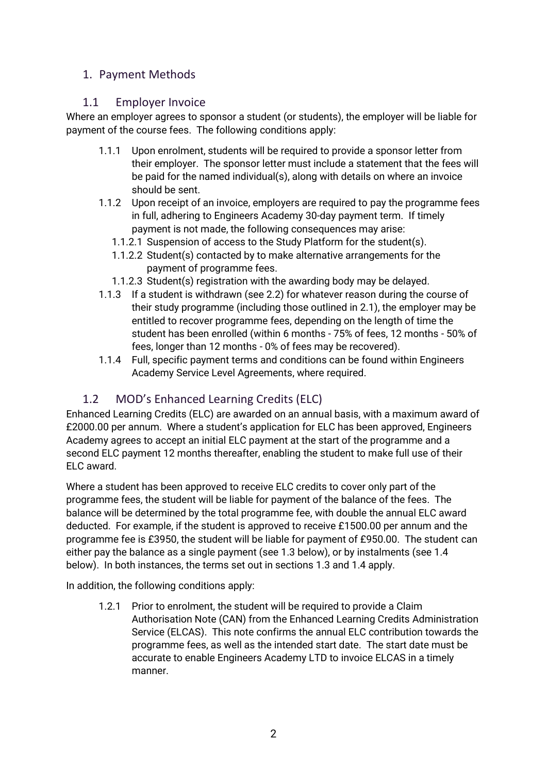#### <span id="page-1-0"></span>1. Payment Methods

#### <span id="page-1-1"></span>1.1 Employer Invoice

Where an employer agrees to sponsor a student (or students), the employer will be liable for payment of the course fees. The following conditions apply:

- 1.1.1 Upon enrolment, students will be required to provide a sponsor letter from their employer. The sponsor letter must include a statement that the fees will be paid for the named individual(s), along with details on where an invoice should be sent.
- 1.1.2 Upon receipt of an invoice, employers are required to pay the programme fees in full, adhering to Engineers Academy 30-day payment term. If timely payment is not made, the following consequences may arise:
	- 1.1.2.1 Suspension of access to the Study Platform for the student(s).
	- 1.1.2.2 Student(s) contacted by to make alternative arrangements for the payment of programme fees.
	- 1.1.2.3 Student(s) registration with the awarding body may be delayed.
- 1.1.3 If a student is withdrawn (see 2.2) for whatever reason during the course of their study programme (including those outlined in 2.1), the employer may be entitled to recover programme fees, depending on the length of time the student has been enrolled (within 6 months - 75% of fees, 12 months - 50% of fees, longer than 12 months - 0% of fees may be recovered).
- 1.1.4 Full, specific payment terms and conditions can be found within Engineers Academy Service Level Agreements, where required.

## <span id="page-1-2"></span>1.2 MOD's Enhanced Learning Credits (ELC)

Enhanced Learning Credits (ELC) are awarded on an annual basis, with a maximum award of £2000.00 per annum. Where a student's application for ELC has been approved, Engineers Academy agrees to accept an initial ELC payment at the start of the programme and a second ELC payment 12 months thereafter, enabling the student to make full use of their ELC award.

Where a student has been approved to receive ELC credits to cover only part of the programme fees, the student will be liable for payment of the balance of the fees. The balance will be determined by the total programme fee, with double the annual ELC award deducted. For example, if the student is approved to receive £1500.00 per annum and the programme fee is £3950, the student will be liable for payment of £950.00. The student can either pay the balance as a single payment (see 1.3 below), or by instalments (see 1.4 below). In both instances, the terms set out in sections 1.3 and 1.4 apply.

In addition, the following conditions apply:

1.2.1 Prior to enrolment, the student will be required to provide a Claim Authorisation Note (CAN) from the Enhanced Learning Credits Administration Service (ELCAS). This note confirms the annual ELC contribution towards the programme fees, as well as the intended start date. The start date must be accurate to enable Engineers Academy LTD to invoice ELCAS in a timely manner.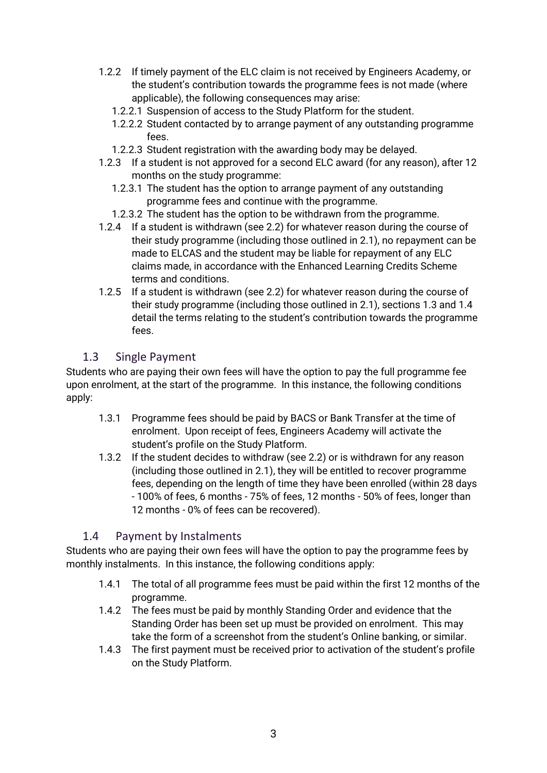- 1.2.2 If timely payment of the ELC claim is not received by Engineers Academy, or the student's contribution towards the programme fees is not made (where applicable), the following consequences may arise:
	- 1.2.2.1 Suspension of access to the Study Platform for the student.
	- 1.2.2.2 Student contacted by to arrange payment of any outstanding programme fees.
	- 1.2.2.3 Student registration with the awarding body may be delayed.
- 1.2.3 If a student is not approved for a second ELC award (for any reason), after 12 months on the study programme:
	- 1.2.3.1 The student has the option to arrange payment of any outstanding programme fees and continue with the programme.
	- 1.2.3.2 The student has the option to be withdrawn from the programme.
- 1.2.4 If a student is withdrawn (see 2.2) for whatever reason during the course of their study programme (including those outlined in 2.1), no repayment can be made to ELCAS and the student may be liable for repayment of any ELC claims made, in accordance with the Enhanced Learning Credits Scheme terms and conditions.
- 1.2.5 If a student is withdrawn (see 2.2) for whatever reason during the course of their study programme (including those outlined in 2.1), sections 1.3 and 1.4 detail the terms relating to the student's contribution towards the programme fees.

#### <span id="page-2-0"></span>1.3 Single Payment

Students who are paying their own fees will have the option to pay the full programme fee upon enrolment, at the start of the programme. In this instance, the following conditions apply:

- 1.3.1 Programme fees should be paid by BACS or Bank Transfer at the time of enrolment. Upon receipt of fees, Engineers Academy will activate the student's profile on the Study Platform.
- 1.3.2 If the student decides to withdraw (see 2.2) or is withdrawn for any reason (including those outlined in 2.1), they will be entitled to recover programme fees, depending on the length of time they have been enrolled (within 28 days - 100% of fees, 6 months - 75% of fees, 12 months - 50% of fees, longer than 12 months - 0% of fees can be recovered).

### <span id="page-2-1"></span>1.4 Payment by Instalments

Students who are paying their own fees will have the option to pay the programme fees by monthly instalments. In this instance, the following conditions apply:

- 1.4.1 The total of all programme fees must be paid within the first 12 months of the programme.
- 1.4.2 The fees must be paid by monthly Standing Order and evidence that the Standing Order has been set up must be provided on enrolment. This may take the form of a screenshot from the student's Online banking, or similar.
- 1.4.3 The first payment must be received prior to activation of the student's profile on the Study Platform.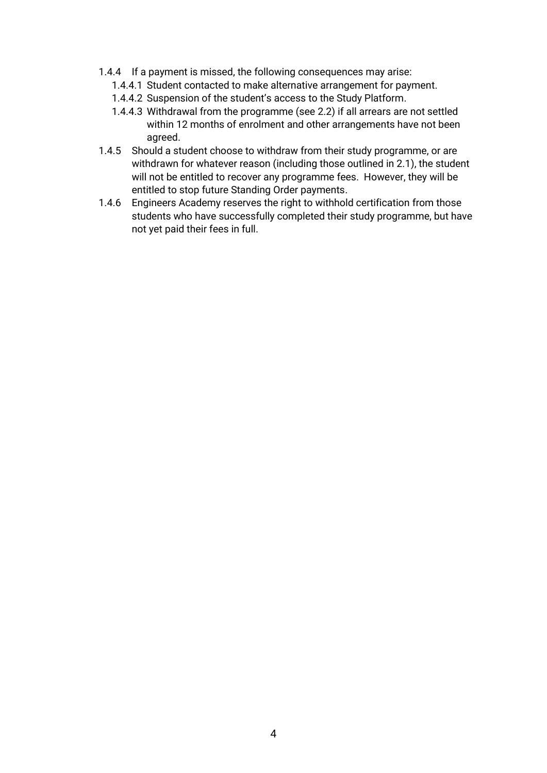- 1.4.4 If a payment is missed, the following consequences may arise:
	- 1.4.4.1 Student contacted to make alternative arrangement for payment.
	- 1.4.4.2 Suspension of the student's access to the Study Platform.
	- 1.4.4.3 Withdrawal from the programme (see 2.2) if all arrears are not settled within 12 months of enrolment and other arrangements have not been agreed.
- 1.4.5 Should a student choose to withdraw from their study programme, or are withdrawn for whatever reason (including those outlined in 2.1), the student will not be entitled to recover any programme fees. However, they will be entitled to stop future Standing Order payments.
- 1.4.6 Engineers Academy reserves the right to withhold certification from those students who have successfully completed their study programme, but have not yet paid their fees in full.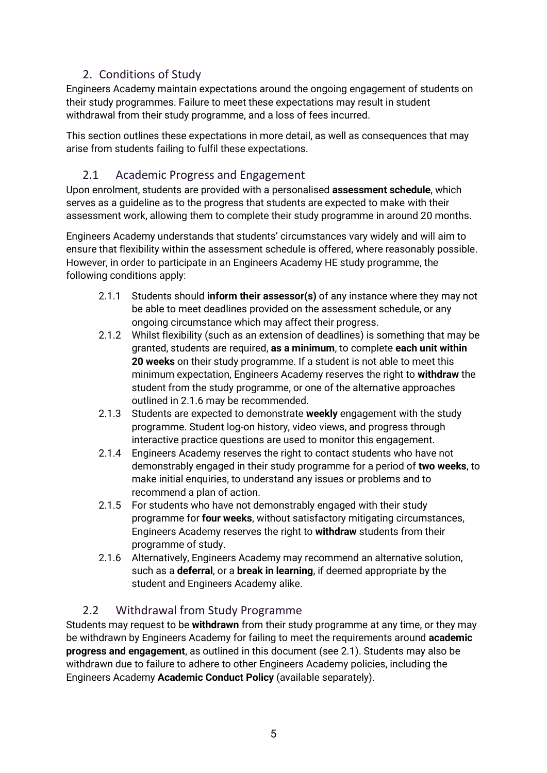### 2. Conditions of Study

<span id="page-4-0"></span>Engineers Academy maintain expectations around the ongoing engagement of students on their study programmes. Failure to meet these expectations may result in student withdrawal from their study programme, and a loss of fees incurred.

This section outlines these expectations in more detail, as well as consequences that may arise from students failing to fulfil these expectations.

### <span id="page-4-1"></span>2.1 Academic Progress and Engagement

Upon enrolment, students are provided with a personalised **assessment schedule**, which serves as a guideline as to the progress that students are expected to make with their assessment work, allowing them to complete their study programme in around 20 months.

Engineers Academy understands that students' circumstances vary widely and will aim to ensure that flexibility within the assessment schedule is offered, where reasonably possible. However, in order to participate in an Engineers Academy HE study programme, the following conditions apply:

- 2.1.1 Students should **inform their assessor(s)** of any instance where they may not be able to meet deadlines provided on the assessment schedule, or any ongoing circumstance which may affect their progress.
- 2.1.2 Whilst flexibility (such as an extension of deadlines) is something that may be granted, students are required, **as a minimum**, to complete **each unit within 20 weeks** on their study programme. If a student is not able to meet this minimum expectation, Engineers Academy reserves the right to **withdraw** the student from the study programme, or one of the alternative approaches outlined in 2.1.6 may be recommended.
- 2.1.3 Students are expected to demonstrate **weekly** engagement with the study programme. Student log-on history, video views, and progress through interactive practice questions are used to monitor this engagement.
- 2.1.4 Engineers Academy reserves the right to contact students who have not demonstrably engaged in their study programme for a period of **two weeks**, to make initial enquiries, to understand any issues or problems and to recommend a plan of action.
- 2.1.5 For students who have not demonstrably engaged with their study programme for **four weeks**, without satisfactory mitigating circumstances, Engineers Academy reserves the right to **withdraw** students from their programme of study.
- 2.1.6 Alternatively, Engineers Academy may recommend an alternative solution, such as a **deferral**, or a **break in learning**, if deemed appropriate by the student and Engineers Academy alike.

### <span id="page-4-2"></span>2.2 Withdrawal from Study Programme

Students may request to be **withdrawn** from their study programme at any time, or they may be withdrawn by Engineers Academy for failing to meet the requirements around **academic progress and engagement**, as outlined in this document (see 2.1). Students may also be withdrawn due to failure to adhere to other Engineers Academy policies, including the Engineers Academy **Academic Conduct Policy** (available separately).